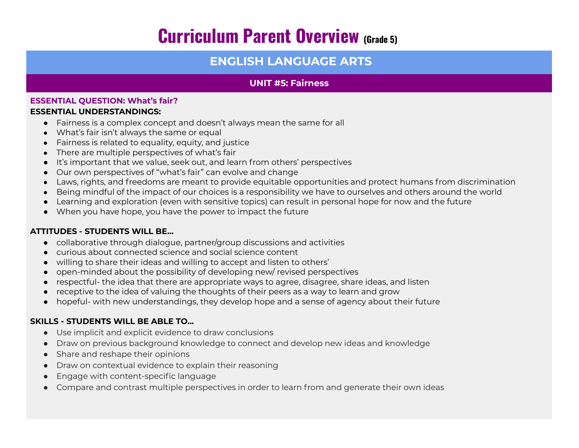# **Curriculum Parent Overview (Grade 5)**

# **ENGLISH LANGUAGE ARTS**

## **UNIT #5: Fairness**

#### **ESSENTIAL QUESTION: What's fair? ESSENTIAL UNDERSTANDINGS:**

- Fairness is a complex concept and doesn't always mean the same for all
- What's fair isn't always the same or equal
- Fairness is related to equality, equity, and justice
- There are multiple perspectives of what's fair
- It's important that we value, seek out, and learn from others' perspectives
- Our own perspectives of "what's fair" can evolve and change
- Laws, rights, and freedoms are meant to provide equitable opportunities and protect humans from discrimination
- Being mindful of the impact of our choices is a responsibility we have to ourselves and others around the world
- Learning and exploration (even with sensitive topics) can result in personal hope for now and the future
- When you have hope, you have the power to impact the future

## **ATTITUDES - STUDENTS WILL BE…**

- collaborative through dialogue, partner/group discussions and activities
- curious about connected science and social science content
- willing to share their ideas and willing to accept and listen to others'
- open-minded about the possibility of developing new/ revised perspectives
- respectful- the idea that there are appropriate ways to agree, disagree, share ideas, and listen
- receptive to the idea of valuing the thoughts of their peers as a way to learn and grow
- hopeful- with new understandings, they develop hope and a sense of agency about their future

## **SKILLS - STUDENTS WILL BE ABLE TO…**

- Use implicit and explicit evidence to draw conclusions
- Draw on previous background knowledge to connect and develop new ideas and knowledge
- Share and reshape their opinions
- Draw on contextual evidence to explain their reasoning
- Engage with content-specific language
- Compare and contrast multiple perspectives in order to learn from and generate their own ideas